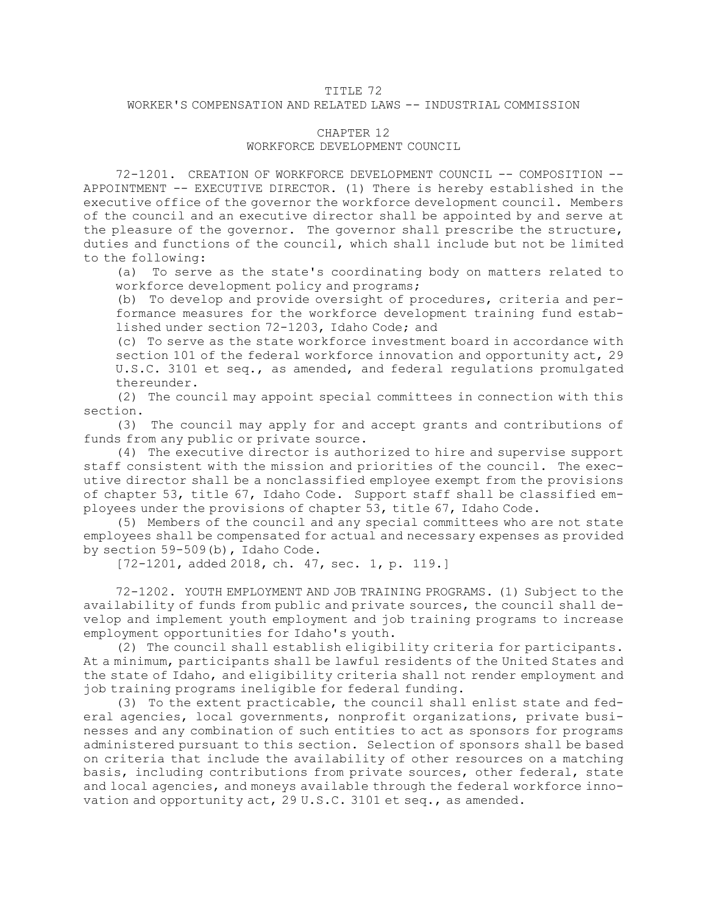## TITLE 72

## WORKER'S COMPENSATION AND RELATED LAWS -- INDUSTRIAL COMMISSION

## CHAPTER 12

## WORKFORCE DEVELOPMENT COUNCIL

72-1201. CREATION OF WORKFORCE DEVELOPMENT COUNCIL -- COMPOSITION -- APPOINTMENT -- EXECUTIVE DIRECTOR. (1) There is hereby established in the executive office of the governor the workforce development council. Members of the council and an executive director shall be appointed by and serve at the pleasure of the governor. The governor shall prescribe the structure, duties and functions of the council, which shall include but not be limited to the following:

(a) To serve as the state's coordinating body on matters related to workforce development policy and programs;

(b) To develop and provide oversight of procedures, criteria and performance measures for the workforce development training fund established under section [72-1203](/statutesrules/idstat/Title72/T72CH12/SECT72-1203), Idaho Code; and

(c) To serve as the state workforce investment board in accordance with section 101 of the federal workforce innovation and opportunity act, 29 U.S.C. 3101 et seq., as amended, and federal regulations promulgated thereunder.

(2) The council may appoint special committees in connection with this section.

(3) The council may apply for and accept grants and contributions of funds from any public or private source.

(4) The executive director is authorized to hire and supervise support staff consistent with the mission and priorities of the council. The executive director shall be <sup>a</sup> nonclassified employee exempt from the provisions of [chapter](/statutesrules/idstat/Title67/T67CH53) 53, title 67, Idaho Code. Support staff shall be classified employees under the provisions of [chapter](/statutesrules/idstat/Title67/T67CH53) 53, title 67, Idaho Code.

(5) Members of the council and any special committees who are not state employees shall be compensated for actual and necessary expenses as provided by section [59-509](/statutesrules/idstat/Title59/T59CH5/SECT59-509)(b), Idaho Code.

[72-1201, added 2018, ch. 47, sec. 1, p. 119.]

72-1202. YOUTH EMPLOYMENT AND JOB TRAINING PROGRAMS. (1) Subject to the availability of funds from public and private sources, the council shall develop and implement youth employment and job training programs to increase employment opportunities for Idaho's youth.

(2) The council shall establish eligibility criteria for participants. At <sup>a</sup> minimum, participants shall be lawful residents of the United States and the state of Idaho, and eligibility criteria shall not render employment and job training programs ineligible for federal funding.

(3) To the extent practicable, the council shall enlist state and federal agencies, local governments, nonprofit organizations, private businesses and any combination of such entities to act as sponsors for programs administered pursuant to this section. Selection of sponsors shall be based on criteria that include the availability of other resources on <sup>a</sup> matching basis, including contributions from private sources, other federal, state and local agencies, and moneys available through the federal workforce innovation and opportunity act, 29 U.S.C. 3101 et seq., as amended.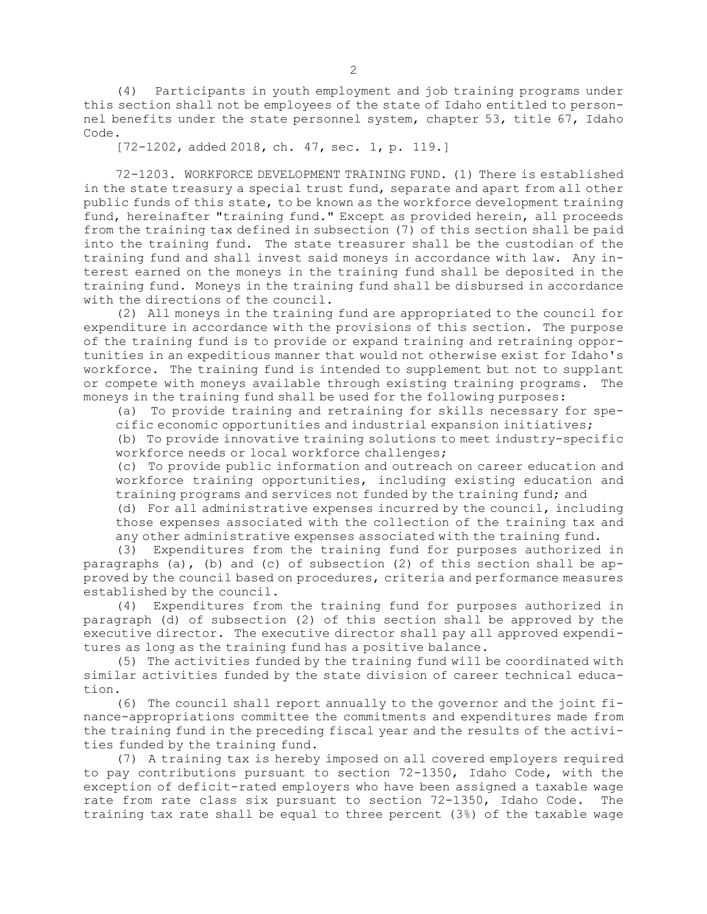(4) Participants in youth employment and job training programs under this section shall not be employees of the state of Idaho entitled to personnel benefits under the state personnel system, [chapter](/statutesrules/idstat/Title67/T67CH53) 53, title 67, Idaho Code.

[72-1202, added 2018, ch. 47, sec. 1, p. 119.]

72-1203. WORKFORCE DEVELOPMENT TRAINING FUND. (1) There is established in the state treasury <sup>a</sup> special trust fund, separate and apart from all other public funds of this state, to be known as the workforce development training fund, hereinafter "training fund." Except as provided herein, all proceeds from the training tax defined in subsection (7) of this section shall be paid into the training fund. The state treasurer shall be the custodian of the training fund and shall invest said moneys in accordance with law. Any interest earned on the moneys in the training fund shall be deposited in the training fund. Moneys in the training fund shall be disbursed in accordance with the directions of the council.

(2) All moneys in the training fund are appropriated to the council for expenditure in accordance with the provisions of this section. The purpose of the training fund is to provide or expand training and retraining opportunities in an expeditious manner that would not otherwise exist for Idaho's workforce. The training fund is intended to supplement but not to supplant or compete with moneys available through existing training programs. The moneys in the training fund shall be used for the following purposes:

(a) To provide training and retraining for skills necessary for specific economic opportunities and industrial expansion initiatives;

(b) To provide innovative training solutions to meet industry-specific workforce needs or local workforce challenges;

(c) To provide public information and outreach on career education and workforce training opportunities, including existing education and training programs and services not funded by the training fund; and

(d) For all administrative expenses incurred by the council, including those expenses associated with the collection of the training tax and any other administrative expenses associated with the training fund.

(3) Expenditures from the training fund for purposes authorized in paragraphs (a), (b) and (c) of subsection (2) of this section shall be approved by the council based on procedures, criteria and performance measures established by the council.

(4) Expenditures from the training fund for purposes authorized in paragraph (d) of subsection (2) of this section shall be approved by the executive director. The executive director shall pay all approved expenditures as long as the training fund has <sup>a</sup> positive balance.

(5) The activities funded by the training fund will be coordinated with similar activities funded by the state division of career technical education.

(6) The council shall report annually to the governor and the joint finance-appropriations committee the commitments and expenditures made from the training fund in the preceding fiscal year and the results of the activities funded by the training fund.

(7) <sup>A</sup> training tax is hereby imposed on all covered employers required to pay contributions pursuant to section [72-1350](/statutesrules/idstat/Title72/T72CH13/SECT72-1350), Idaho Code, with the exception of deficit-rated employers who have been assigned <sup>a</sup> taxable wage rate from rate class six pursuant to section [72-1350](/statutesrules/idstat/Title72/T72CH13/SECT72-1350), Idaho Code. The training tax rate shall be equal to three percent (3%) of the taxable wage